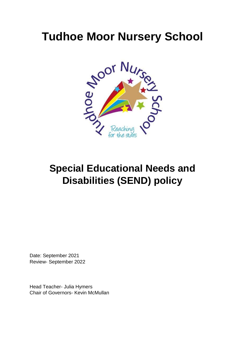# **Tudhoe Moor Nursery School**



# **Special Educational Needs and Disabilities (SEND) policy**

Date: September 2021 Review- September 2022

Head Teacher- Julia Hymers Chair of Governors- Kevin McMullan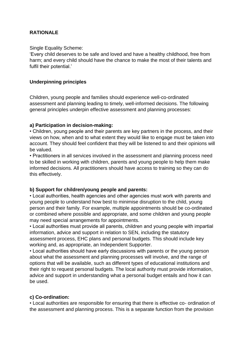# **RATIONALE**

#### Single Equality Scheme:

'Every child deserves to be safe and loved and have a healthy childhood, free from harm; and every child should have the chance to make the most of their talents and fulfil their potential.'

#### **Underpinning principles**

Children, young people and families should experience well-co-ordinated assessment and planning leading to timely, well-informed decisions. The following general principles underpin effective assessment and planning processes:

#### **a) Participation in decision-making:**

• Children, young people and their parents are key partners in the process, and their views on how, when and to what extent they would like to engage must be taken into account. They should feel confident that they will be listened to and their opinions will be valued.

• Practitioners in all services involved in the assessment and planning process need to be skilled in working with children, parents and young people to help them make informed decisions. All practitioners should have access to training so they can do this effectively.

#### **b) Support for children/young people and parents:**

• Local authorities, health agencies and other agencies must work with parents and young people to understand how best to minimise disruption to the child, young person and their family. For example, multiple appointments should be co-ordinated or combined where possible and appropriate, and some children and young people may need special arrangements for appointments.

• Local authorities must provide all parents, children and young people with impartial information, advice and support in relation to SEN, including the statutory assessment process, EHC plans and personal budgets. This should include key working and, as appropriate, an Independent Supporter.

• Local authorities should have early discussions with parents or the young person about what the assessment and planning processes will involve, and the range of options that will be available, such as different types of educational institutions and their right to request personal budgets. The local authority must provide information, advice and support in understanding what a personal budget entails and how it can be used.

#### **c) Co-ordination:**

• Local authorities are responsible for ensuring that there is effective co- ordination of the assessment and planning process. This is a separate function from the provision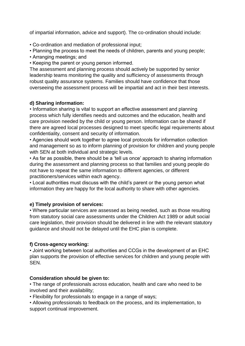of impartial information, advice and support). The co-ordination should include:

- Co-ordination and mediation of professional input;
- Planning the process to meet the needs of children, parents and young people;
- Arranging meetings; and
- Keeping the parent or young person informed.

The assessment and planning process should actively be supported by senior leadership teams monitoring the quality and sufficiency of assessments through robust quality assurance systems. Families should have confidence that those overseeing the assessment process will be impartial and act in their best interests.

# **d) Sharing information:**

• Information sharing is vital to support an effective assessment and planning process which fully identifies needs and outcomes and the education, health and care provision needed by the child or young person. Information can be shared if there are agreed local processes designed to meet specific legal requirements about confidentiality, consent and security of information.

• Agencies should work together to agree local protocols for information collection and management so as to inform planning of provision for children and young people with SEN at both individual and strategic levels.

• As far as possible, there should be a 'tell us once' approach to sharing information during the assessment and planning process so that families and young people do not have to repeat the same information to different agencies, or different practitioners/services within each agency.

• Local authorities must discuss with the child's parent or the young person what information they are happy for the local authority to share with other agencies.

# **e) Timely provision of services:**

• Where particular services are assessed as being needed, such as those resulting from statutory social care assessments under the Children Act 1989 or adult social care legislation, their provision should be delivered in line with the relevant statutory guidance and should not be delayed until the EHC plan is complete.

# **f) Cross-agency working:**

• Joint working between local authorities and CCGs in the development of an EHC plan supports the provision of effective services for children and young people with SEN.

#### **Consideration should be given to:**

• The range of professionals across education, health and care who need to be involved and their availability;

- Flexibility for professionals to engage in a range of ways;
- Allowing professionals to feedback on the process, and its implementation, to support continual improvement.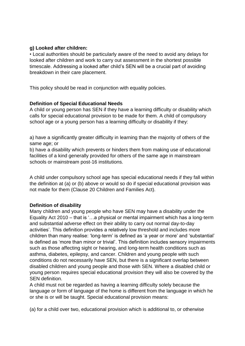# **g) Looked after children:**

• Local authorities should be particularly aware of the need to avoid any delays for looked after children and work to carry out assessment in the shortest possible timescale. Addressing a looked after child's SEN will be a crucial part of avoiding breakdown in their care placement.

This policy should be read in conjunction with equality policies.

#### **Definition of Special Educational Needs**

A child or young person has SEN if they have a learning difficulty or disability which calls for special educational provision to be made for them. A child of compulsory school age or a young person has a learning difficulty or disability if they:

a) have a significantly greater difficulty in learning than the majority of others of the same age; or

b) have a disability which prevents or hinders them from making use of educational facilities of a kind generally provided for others of the same age in mainstream schools or mainstream post-16 institutions.

A child under compulsory school age has special educational needs if they fall within the definition at (a) or (b) above or would so do if special educational provision was not made for them (Clause 20 Children and Families Act).

# **Definition of disability**

Many children and young people who have SEN may have a disability under the Equality Act 2010 – that is '…a physical or mental impairment which has a long-term and substantial adverse effect on their ability to carry out normal day-to-day activities'. This definition provides a relatively low threshold and includes more children than many realise: 'long-term' is defined as 'a year or more' and 'substantial' is defined as 'more than minor or trivial'. This definition includes sensory impairments such as those affecting sight or hearing, and long-term health conditions such as asthma, diabetes, epilepsy, and cancer. Children and young people with such conditions do not necessarily have SEN, but there is a significant overlap between disabled children and young people and those with SEN. Where a disabled child or young person requires special educational provision they will also be covered by the SEN definition.

A child must not be regarded as having a learning difficulty solely because the language or form of language of the home is different from the language in which he or she is or will be taught. Special educational provision means:

(a) for a child over two, educational provision which is additional to, or otherwise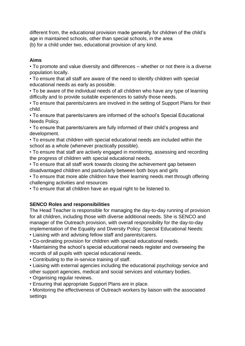different from, the educational provision made generally for children of the child's age in maintained schools, other than special schools, in the area (b) for a child under two, educational provision of any kind.

# **Aims**

• To promote and value diversity and differences – whether or not there is a diverse population locally.

• To ensure that all staff are aware of the need to identify children with special educational needs as early as possible.

• To be aware of the individual needs of all children who have any type of learning difficulty and to provide suitable experiences to satisfy those needs.

• To ensure that parents/carers are involved in the setting of Support Plans for their child.

• To ensure that parents/carers are informed of the school's Special Educational Needs Policy.

• To ensure that parents/carers are fully informed of their child's progress and development.

• To ensure that children with special educational needs are included within the school as a whole (whenever practically possible).

• To ensure that staff are actively engaged in monitoring, assessing and recording the progress of children with special educational needs.

• To ensure that all staff work towards closing the achievement gap between disadvantaged children and particularly between both boys and girls

• To ensure that more able children have their learning needs met through offering challenging activities and resources

• To ensure that all children have an equal right to be listened to.

# **SENCO Roles and responsibilities**

The Head Teacher is responsible for managing the day-to-day running of provision for all children, including those with diverse additional needs. She is SENCO and manager of the Outreach provision, with overall responsibility for the day-to-day implementation of the Equality and Diversity Policy: Special Educational Needs:

• Liaising with and advising fellow staff and parents/carers.

• Co-ordinating provision for children with special educational needs.

• Maintaining the school's special educational needs register and overseeing the records of all pupils with special educational needs.

• Contributing to the in-service training of staff.

• Liaising with external agencies including the educational psychology service and other support agencies, medical and social services and voluntary bodies.

- Organising regular reviews.
- Ensuring that appropriate Support Plans are in place.

• Monitoring the effectiveness of Outreach workers by liaison with the associated settings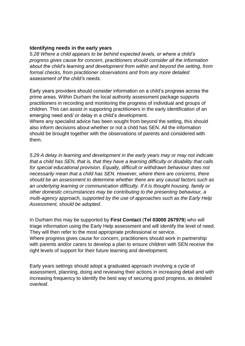#### **Identifying needs in the early years**

*5.28 Where a child appears to be behind expected levels, or where a child's progress gives cause for concern, practitioners should consider all the information about the child's learning and development from within and beyond the setting, from formal checks, from practitioner observations and from any more detailed assessment of the child's needs.*

Early years providers should consider information on a child's progress across the prime areas. Within Durham the local authority assessment package supports practitioners in recording and monitoring the progress of individual and groups of children. This can assist in supporting practitioners in the early identification of an emerging need and/ or delay in a child's development.

Where any specialist advice has been sought from beyond the setting, this should also inform decisions about whether or not a child has SEN. All the information should be brought together with the observations of parents and considered with them.

*5.29 A delay in learning and development in the early years may or may not indicate that a child has SEN, that is, that they have a learning difficulty or disability that calls for special educational provision. Equally, difficult or withdrawn behaviour does not necessarily mean that a child has SEN. However, where there are concerns, there should be an assessment to determine whether there are any causal factors such as an underlying learning or communication difficulty. If it is thought housing, family or other domestic circumstances may be contributing to the presenting behaviour, a multi-agency approach, supported by the use of approaches such as the Early Help Assessment, should be adopted.*

In Durham this may be supported by **First Contact** (**Tel 03000 267979**) who will triage information using the Early Help assessment and will identify the level of need. They will then refer to the most appropriate professional or service. Where progress gives cause for concern, practitioners should work in partnership with parents and/or carers to develop a plan to ensure children with SEN receive the right levels of support for their future learning and development.

Early years settings should adopt a graduated approach involving a cycle of assessment, planning, doing and reviewing their actions in increasing detail and with increasing frequency to identify the best way of securing good progress, as detailed overleaf.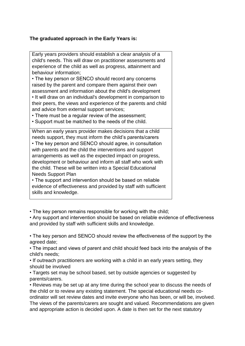# **The graduated approach in the Early Years is:**

Early years providers should establish a clear analysis of a child's needs. This will draw on practitioner assessments and experience of the child as well as progress, attainment and behaviour information;

• The key person or SENCO should record any concerns raised by the parent and compare them against their own assessment and information about the child's development • It will draw on an individual's development in comparison to their peers, the views and experience of the parents and child

and advice from external support services;

• There must be a regular review of the assessment;

• Support must be matched to the needs of the child.

When an early years provider makes decisions that a child needs support, they must inform the child's parents/carers • The key person and SENCO should agree, in consultation with parents and the child the interventions and support arrangements as well as the expected impact on progress, development or behaviour and inform all staff who work with the child. These will be written into a Special Educational Needs Support Plan

• The support and intervention should be based on reliable evidence of effectiveness and provided by staff with sufficient skills and knowledge.

• The key person remains responsible for working with the child;

• Any support and intervention should be based on reliable evidence of effectiveness and provided by staff with sufficient skills and knowledge.

• The key person and SENCO should review the effectiveness of the support by the agreed date;

• The impact and views of parent and child should feed back into the analysis of the child's needs;

• If outreach practitioners are working with a child in an early years setting, they should be involved

• Targets set may be school based, set by outside agencies or suggested by parents/carers.

• Reviews may be set up at any time during the school year to discuss the needs of the child or to review any existing statement. The special educational needs coordinator will set review dates and invite everyone who has been, or will be, involved. The views of the parents/carers are sought and valued. Recommendations are given and appropriate action is decided upon. A date is then set for the next statutory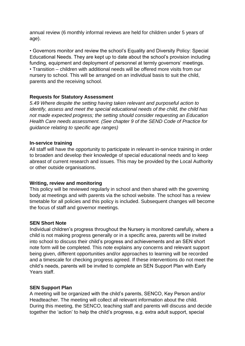annual review (6 monthly informal reviews are held for children under 5 years of age).

• Governors monitor and review the school's Equality and Diversity Policy: Special Educational Needs. They are kept up to date about the school's provision including funding, equipment and deployment of personnel at termly governors' meetings. • Transition – children with additional needs will be offered more visits from our nursery to school. This will be arranged on an individual basis to suit the child, parents and the receiving school.

#### **Requests for Statutory Assessment**

*5.49 Where despite the setting having taken relevant and purposeful action to identify, assess and meet the special educational needs of the child, the child has not made expected progress; the setting should consider requesting an Education Health Care needs assessment. (See chapter 9 of the SEND Code of Practice for guidance relating to specific age ranges)*

#### **In-service training**

All staff will have the opportunity to participate in relevant in-service training in order to broaden and develop their knowledge of special educational needs and to keep abreast of current research and issues. This may be provided by the Local Authority or other outside organisations.

#### **Writing, review and monitoring**

This policy will be reviewed regularly in school and then shared with the governing body at meetings and with parents via the school website. The school has a review timetable for all policies and this policy is included. Subsequent changes will become the focus of staff and governor meetings.

#### **SEN Short Note**

Individual children's progress throughout the Nursery is monitored carefully, where a child is not making progress generally or in a specific area, parents will be invited into school to discuss their child's progress and achievements and an SEN short note form will be completed. This note explains any concerns and relevant support being given, different opportunities and/or approaches to learning will be recorded and a timescale for checking progress agreed. If these interventions do not meet the child's needs, parents will be invited to complete an SEN Support Plan with Early Years staff.

#### **SEN Support Plan**

A meeting will be organized with the child's parents, SENCO, Key Person and/or Headteacher. The meeting will collect all relevant information about the child. During this meeting, the SENCO, teaching staff and parents will discuss and decide together the 'action' to help the child's progress, e.g. extra adult support, special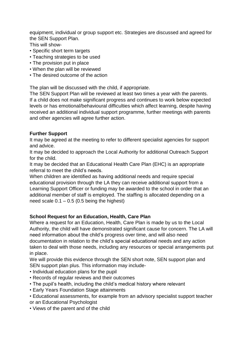equipment, individual or group support etc. Strategies are discussed and agreed for the SEN Support Plan.

This will show-

- Specific short term targets
- Teaching strategies to be used
- The provision put in place
- When the plan will be reviewed
- The desired outcome of the action

The plan will be discussed with the child, if appropriate.

The SEN Support Plan will be reviewed at least two times a year with the parents. If a child does not make significant progress and continues to work below expected levels or has emotional/behavioural difficulties which affect learning, despite having received an additional individual support programme, further meetings with parents and other agencies will agree further action.

# **Further Support**

It may be agreed at the meeting to refer to different specialist agencies for support and advice.

It may be decided to approach the Local Authority for additional Outreach Support for the child.

It may be decided that an Educational Health Care Plan (EHC) is an appropriate referral to meet the child's needs.

When children are identified as having additional needs and require special educational provision through the LA they can receive additional support from a Learning Support Officer or funding may be awarded to the school in order that an additional member of staff is employed. The staffing is allocated depending on a need scale  $0.1 - 0.5$  (0.5 being the highest)

# **School Request for an Education, Health, Care Plan**

Where a request for an Education, Health, Care Plan is made by us to the Local Authority, the child will have demonstrated significant cause for concern. The LA will need information about the child's progress over time, and will also need documentation in relation to the child's special educational needs and any action taken to deal with those needs, including any resources or special arrangements put in place.

We will provide this evidence through the SEN short note, SEN support plan and SEN support plan plus. This information may include-

- Individual education plans for the pupil
- Records of regular reviews and their outcomes
- The pupil's health, including the child's medical history where relevant
- Early Years Foundation Stage attainments
- Educational assessments, for example from an advisory specialist support teacher or an Educational Psychologist
- Views of the parent and of the child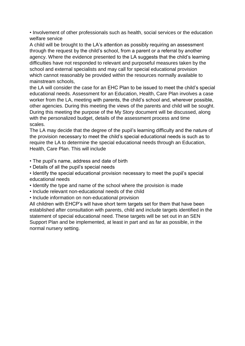• Involvement of other professionals such as health, social services or the education welfare service

A child will be brought to the LA's attention as possibly requiring an assessment through the request by the child's school, from a parent or a referral by another agency. Where the evidence presented to the LA suggests that the child's learning difficulties have not responded to relevant and purposeful measures taken by the school and external specialists and may call for special educational provision which cannot reasonably be provided within the resources normally available to mainstream schools,

the LA will consider the case for an EHC Plan to be issued to meet the child's special educational needs. Assessment for an Education, Health, Care Plan involves a case worker from the LA, meeting with parents, the child's school and, wherever possible, other agencies. During this meeting the views of the parents and child will be sought. During this meeting the purpose of the My Story document will be discussed, along with the personalized budget, details of the assessment process and time scales.

The LA may decide that the degree of the pupil's learning difficulty and the nature of the provision necessary to meet the child's special educational needs is such as to require the LA to determine the special educational needs through an Education, Health, Care Plan. This will include

- The pupil's name, address and date of birth
- Details of all the pupil's special needs

• Identify the special educational provision necessary to meet the pupil's special educational needs

- Identify the type and name of the school where the provision is made
- Include relevant non-educational needs of the child
- Include information on non-educational provision

All children with EHCP's will have short term targets set for them that have been established after consultation with parents, child and include targets identified in the statement of special educational need. These targets will be set out in an SEN Support Plan and be implemented, at least in part and as far as possible, in the normal nursery setting.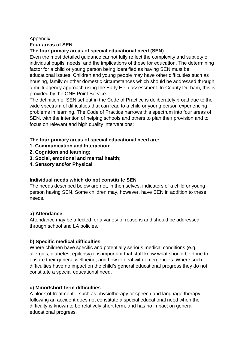# Appendix 1 **Four areas of SEN**

# **The four primary areas of special educational need (SEN)**

Even the most detailed guidance cannot fully reflect the complexity and subtlety of individual pupils' needs, and the implications of these for education. The determining factor for a child or young person being identified as having SEN must be educational issues. Children and young people may have other difficulties such as housing, family or other domestic circumstances which should be addressed through a multi-agency approach using the Early Help assessment. In County Durham, this is provided by the ONE Point Service.

The definition of SEN set out in the Code of Practice is deliberately broad due to the wide spectrum of difficulties that can lead to a child or young person experiencing problems in learning. The Code of Practice narrows this spectrum into four areas of SEN, with the intention of helping schools and others to plan their provision and to focus on relevant and high quality interventions:

# **The four primary areas of special educational need are:**

- **1. Communication and Interaction;**
- **2. Cognition and learning;**
- **3. Social, emotional and mental health;**
- **4. Sensory and/or Physical**

# **Individual needs which do not constitute SEN**

The needs described below are not, in themselves, indicators of a child or young person having SEN. Some children may, however, have SEN in addition to these needs.

# **a) Attendance**

Attendance may be affected for a variety of reasons and should be addressed through school and LA policies.

# **b) Specific medical difficulties**

Where children have specific and potentially serious medical conditions (e.g. allergies, diabetes, epilepsy) it is important that staff know what should be done to ensure their general wellbeing, and how to deal with emergencies. Where such difficulties have no impact on the child's general educational progress they do not constitute a special educational need.

# **c) Minor/short term difficulties**

A block of treatment – such as physiotherapy or speech and language therapy – following an accident does not constitute a special educational need when the difficulty is known to be relatively short term, and has no impact on general educational progress.